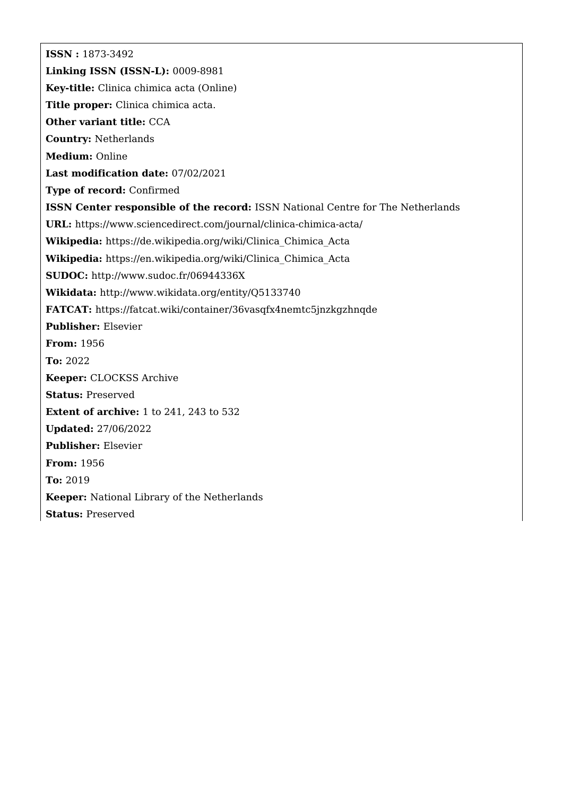**ISSN :** 1873-3492 **Linking ISSN (ISSN-L):** 0009-8981 **Key-title:** Clinica chimica acta (Online) **Title proper:** Clinica chimica acta. **Other variant title:** CCA **Country:** Netherlands **Medium:** Online **Last modification date:** 07/02/2021 **Type of record:** Confirmed **ISSN Center responsible of the record:** ISSN National Centre for The Netherlands **URL:** <https://www.sciencedirect.com/journal/clinica-chimica-acta/> **Wikipedia:** [https://de.wikipedia.org/wiki/Clinica\\_Chimica\\_Acta](https://de.wikipedia.org/wiki/Clinica_Chimica_Acta) **Wikipedia:** [https://en.wikipedia.org/wiki/Clinica\\_Chimica\\_Acta](https://en.wikipedia.org/wiki/Clinica_Chimica_Acta) **SUDOC:** <http://www.sudoc.fr/06944336X> **Wikidata:** <http://www.wikidata.org/entity/Q5133740> **FATCAT:** <https://fatcat.wiki/container/36vasqfx4nemtc5jnzkgzhnqde> **Publisher:** Elsevier **From:** 1956 **To:** 2022 **Keeper:** CLOCKSS Archive **Status:** Preserved **Extent of archive:** 1 to 241, 243 to 532 **Updated:** 27/06/2022 **Publisher:** Elsevier **From:** 1956 **To:** 2019 **Keeper:** National Library of the Netherlands **Status:** Preserved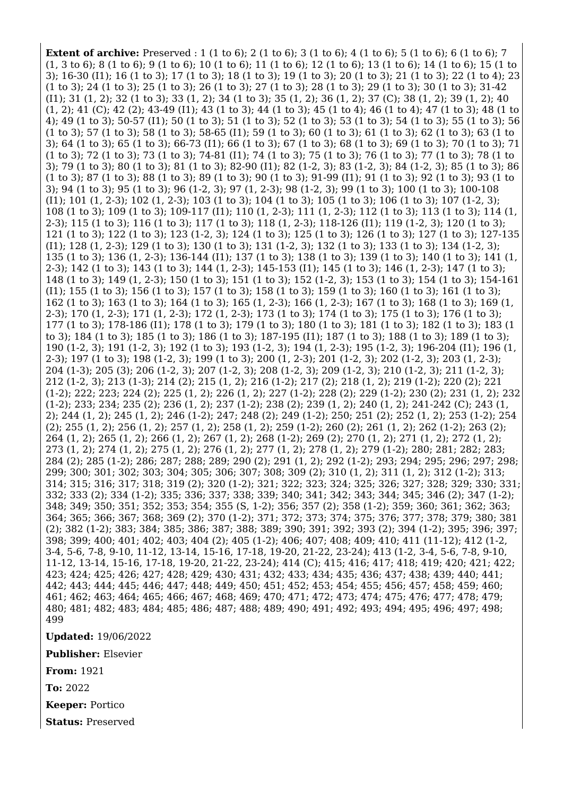**Extent of archive:** Preserved : 1 (1 to 6); 2 (1 to 6); 3 (1 to 6); 4 (1 to 6); 5 (1 to 6); 6 (1 to 6); 7 (1, 3 to 6); 8 (1 to 6); 9 (1 to 6); 10 (1 to 6); 11 (1 to 6); 12 (1 to 6); 13 (1 to 6); 14 (1 to 6); 15 (1 to 3); 16-30 (I1); 16 (1 to 3); 17 (1 to 3); 18 (1 to 3); 19 (1 to 3); 20 (1 to 3); 21 (1 to 3); 22 (1 to 4); 23 (1 to 3); 24 (1 to 3); 25 (1 to 3); 26 (1 to 3); 27 (1 to 3); 28 (1 to 3); 29 (1 to 3); 30 (1 to 3); 31-42 (I1); 31 (1, 2); 32 (1 to 3); 33 (1, 2); 34 (1 to 3); 35 (1, 2); 36 (1, 2); 37 (C); 38 (1, 2); 39 (1, 2); 40 (1, 2); 41 (C); 42 (2); 43-49 (I1); 43 (1 to 3); 44 (1 to 3); 45 (1 to 4); 46 (1 to 4); 47 (1 to 3); 48 (1 to 4); 49 (1 to 3); 50-57 (I1); 50 (1 to 3); 51 (1 to 3); 52 (1 to 3); 53 (1 to 3); 54 (1 to 3); 55 (1 to 3); 56 (1 to 3); 57 (1 to 3); 58 (1 to 3); 58-65 (I1); 59 (1 to 3); 60 (1 to 3); 61 (1 to 3); 62 (1 to 3); 63 (1 to 3); 64 (1 to 3); 65 (1 to 3); 66-73 (I1); 66 (1 to 3); 67 (1 to 3); 68 (1 to 3); 69 (1 to 3); 70 (1 to 3); 71 (1 to 3); 72 (1 to 3); 73 (1 to 3); 74-81 (I1); 74 (1 to 3); 75 (1 to 3); 76 (1 to 3); 77 (1 to 3); 78 (1 to 3); 79 (1 to 3); 80 (1 to 3); 81 (1 to 3); 82-90 (I1); 82 (1-2, 3); 83 (1-2, 3); 84 (1-2, 3); 85 (1 to 3); 86 (1 to 3); 87 (1 to 3); 88 (1 to 3); 89 (1 to 3); 90 (1 to 3); 91-99 (I1); 91 (1 to 3); 92 (1 to 3); 93 (1 to 3); 94 (1 to 3); 95 (1 to 3); 96 (1-2, 3); 97 (1, 2-3); 98 (1-2, 3); 99 (1 to 3); 100 (1 to 3); 100-108 (I1); 101 (1, 2-3); 102 (1, 2-3); 103 (1 to 3); 104 (1 to 3); 105 (1 to 3); 106 (1 to 3); 107 (1-2, 3); 108 (1 to 3); 109 (1 to 3); 109-117 (I1); 110 (1, 2-3); 111 (1, 2-3); 112 (1 to 3); 113 (1 to 3); 114 (1, 2-3); 115 (1 to 3); 116 (1 to 3); 117 (1 to 3); 118 (1, 2-3); 118-126 (I1); 119 (1-2, 3); 120 (1 to 3); 121 (1 to 3); 122 (1 to 3); 123 (1-2, 3); 124 (1 to 3); 125 (1 to 3); 126 (1 to 3); 127 (1 to 3); 127-135 (I1); 128 (1, 2-3); 129 (1 to 3); 130 (1 to 3); 131 (1-2, 3); 132 (1 to 3); 133 (1 to 3); 134 (1-2, 3); 135 (1 to 3); 136 (1, 2-3); 136-144 (I1); 137 (1 to 3); 138 (1 to 3); 139 (1 to 3); 140 (1 to 3); 141 (1, 2-3); 142 (1 to 3); 143 (1 to 3); 144 (1, 2-3); 145-153 (I1); 145 (1 to 3); 146 (1, 2-3); 147 (1 to 3); 148 (1 to 3); 149 (1, 2-3); 150 (1 to 3); 151 (1 to 3); 152 (1-2, 3); 153 (1 to 3); 154 (1 to 3); 154-161 (I1); 155 (1 to 3); 156 (1 to 3); 157 (1 to 3); 158 (1 to 3); 159 (1 to 3); 160 (1 to 3); 161 (1 to 3); 162 (1 to 3); 163 (1 to 3); 164 (1 to 3); 165 (1, 2-3); 166 (1, 2-3); 167 (1 to 3); 168 (1 to 3); 169 (1, 2-3); 170 (1, 2-3); 171 (1, 2-3); 172 (1, 2-3); 173 (1 to 3); 174 (1 to 3); 175 (1 to 3); 176 (1 to 3); 177 (1 to 3); 178-186 (I1); 178 (1 to 3); 179 (1 to 3); 180 (1 to 3); 181 (1 to 3); 182 (1 to 3); 183 (1 to 3); 184 (1 to 3); 185 (1 to 3); 186 (1 to 3); 187-195 (I1); 187 (1 to 3); 188 (1 to 3); 189 (1 to 3); 190 (1-2, 3); 191 (1-2, 3); 192 (1 to 3); 193 (1-2, 3); 194 (1, 2-3); 195 (1-2, 3); 196-204 (I1); 196 (1, 2-3); 197 (1 to 3); 198 (1-2, 3); 199 (1 to 3); 200 (1, 2-3); 201 (1-2, 3); 202 (1-2, 3); 203 (1, 2-3); 204 (1-3); 205 (3); 206 (1-2, 3); 207 (1-2, 3); 208 (1-2, 3); 209 (1-2, 3); 210 (1-2, 3); 211 (1-2, 3); 212 (1-2, 3); 213 (1-3); 214 (2); 215 (1, 2); 216 (1-2); 217 (2); 218 (1, 2); 219 (1-2); 220 (2); 221 (1-2); 222; 223; 224 (2); 225 (1, 2); 226 (1, 2); 227 (1-2); 228 (2); 229 (1-2); 230 (2); 231 (1, 2); 232 (1-2); 233; 234; 235 (2); 236 (1, 2); 237 (1-2); 238 (2); 239 (1, 2); 240 (1, 2); 241-242 (C); 243 (1, 2); 244 (1, 2); 245 (1, 2); 246 (1-2); 247; 248 (2); 249 (1-2); 250; 251 (2); 252 (1, 2); 253 (1-2); 254 (2); 255 (1, 2); 256 (1, 2); 257 (1, 2); 258 (1, 2); 259 (1-2); 260 (2); 261 (1, 2); 262 (1-2); 263 (2); 264 (1, 2); 265 (1, 2); 266 (1, 2); 267 (1, 2); 268 (1-2); 269 (2); 270 (1, 2); 271 (1, 2); 272 (1, 2); 273 (1, 2); 274 (1, 2); 275 (1, 2); 276 (1, 2); 277 (1, 2); 278 (1, 2); 279 (1-2); 280; 281; 282; 283; 284 (2); 285 (1-2); 286; 287; 288; 289; 290 (2); 291 (1, 2); 292 (1-2); 293; 294; 295; 296; 297; 298; 299; 300; 301; 302; 303; 304; 305; 306; 307; 308; 309 (2); 310 (1, 2); 311 (1, 2); 312 (1-2); 313; 314; 315; 316; 317; 318; 319 (2); 320 (1-2); 321; 322; 323; 324; 325; 326; 327; 328; 329; 330; 331; 332; 333 (2); 334 (1-2); 335; 336; 337; 338; 339; 340; 341; 342; 343; 344; 345; 346 (2); 347 (1-2); 348; 349; 350; 351; 352; 353; 354; 355 (S, 1-2); 356; 357 (2); 358 (1-2); 359; 360; 361; 362; 363; 364; 365; 366; 367; 368; 369 (2); 370 (1-2); 371; 372; 373; 374; 375; 376; 377; 378; 379; 380; 381 (2); 382 (1-2); 383; 384; 385; 386; 387; 388; 389; 390; 391; 392; 393 (2); 394 (1-2); 395; 396; 397; 398; 399; 400; 401; 402; 403; 404 (2); 405 (1-2); 406; 407; 408; 409; 410; 411 (11-12); 412 (1-2, 3-4, 5-6, 7-8, 9-10, 11-12, 13-14, 15-16, 17-18, 19-20, 21-22, 23-24); 413 (1-2, 3-4, 5-6, 7-8, 9-10, 11-12, 13-14, 15-16, 17-18, 19-20, 21-22, 23-24); 414 (C); 415; 416; 417; 418; 419; 420; 421; 422; 423; 424; 425; 426; 427; 428; 429; 430; 431; 432; 433; 434; 435; 436; 437; 438; 439; 440; 441; 442; 443; 444; 445; 446; 447; 448; 449; 450; 451; 452; 453; 454; 455; 456; 457; 458; 459; 460; 461; 462; 463; 464; 465; 466; 467; 468; 469; 470; 471; 472; 473; 474; 475; 476; 477; 478; 479; 480; 481; 482; 483; 484; 485; 486; 487; 488; 489; 490; 491; 492; 493; 494; 495; 496; 497; 498; 499

**Updated:** 19/06/2022

**Publisher:** Elsevier

**From:** 1921

**To:** 2022

**Keeper:** Portico

**Status:** Preserved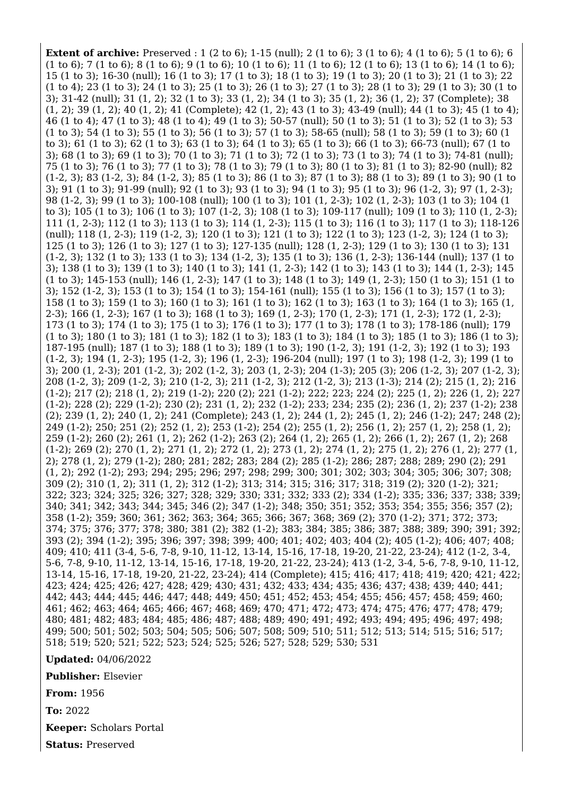**Extent of archive:** Preserved : 1 (2 to 6); 1-15 (null); 2 (1 to 6); 3 (1 to 6); 4 (1 to 6); 5 (1 to 6); 6 (1 to 6); 7 (1 to 6); 8 (1 to 6); 9 (1 to 6); 10 (1 to 6); 11 (1 to 6); 12 (1 to 6); 13 (1 to 6); 14 (1 to 6); 15 (1 to 3); 16-30 (null); 16 (1 to 3); 17 (1 to 3); 18 (1 to 3); 19 (1 to 3); 20 (1 to 3); 21 (1 to 3); 22 (1 to 4); 23 (1 to 3); 24 (1 to 3); 25 (1 to 3); 26 (1 to 3); 27 (1 to 3); 28 (1 to 3); 29 (1 to 3); 30 (1 to 3); 31-42 (null); 31 (1, 2); 32 (1 to 3); 33 (1, 2); 34 (1 to 3); 35 (1, 2); 36 (1, 2); 37 (Complete); 38 (1, 2); 39 (1, 2); 40 (1, 2); 41 (Complete); 42 (1, 2); 43 (1 to 3); 43-49 (null); 44 (1 to 3); 45 (1 to 4); 46 (1 to 4); 47 (1 to 3); 48 (1 to 4); 49 (1 to 3); 50-57 (null); 50 (1 to 3); 51 (1 to 3); 52 (1 to 3); 53 (1 to 3); 54 (1 to 3); 55 (1 to 3); 56 (1 to 3); 57 (1 to 3); 58-65 (null); 58 (1 to 3); 59 (1 to 3); 60 (1 to 3); 61 (1 to 3); 62 (1 to 3); 63 (1 to 3); 64 (1 to 3); 65 (1 to 3); 66 (1 to 3); 66-73 (null); 67 (1 to 3); 68 (1 to 3); 69 (1 to 3); 70 (1 to 3); 71 (1 to 3); 72 (1 to 3); 73 (1 to 3); 74 (1 to 3); 74-81 (null); 75 (1 to 3); 76 (1 to 3); 77 (1 to 3); 78 (1 to 3); 79 (1 to 3); 80 (1 to 3); 81 (1 to 3); 82-90 (null); 82 (1-2, 3); 83 (1-2, 3); 84 (1-2, 3); 85 (1 to 3); 86 (1 to 3); 87 (1 to 3); 88 (1 to 3); 89 (1 to 3); 90 (1 to 3); 91 (1 to 3); 91-99 (null); 92 (1 to 3); 93 (1 to 3); 94 (1 to 3); 95 (1 to 3); 96 (1-2, 3); 97 (1, 2-3); 98 (1-2, 3); 99 (1 to 3); 100-108 (null); 100 (1 to 3); 101 (1, 2-3); 102 (1, 2-3); 103 (1 to 3); 104 (1 to 3); 105 (1 to 3); 106 (1 to 3); 107 (1-2, 3); 108 (1 to 3); 109-117 (null); 109 (1 to 3); 110 (1, 2-3); 111 (1, 2-3); 112 (1 to 3); 113 (1 to 3); 114 (1, 2-3); 115 (1 to 3); 116 (1 to 3); 117 (1 to 3); 118-126 (null); 118 (1, 2-3); 119 (1-2, 3); 120 (1 to 3); 121 (1 to 3); 122 (1 to 3); 123 (1-2, 3); 124 (1 to 3); 125 (1 to 3); 126 (1 to 3); 127 (1 to 3); 127-135 (null); 128 (1, 2-3); 129 (1 to 3); 130 (1 to 3); 131 (1-2, 3); 132 (1 to 3); 133 (1 to 3); 134 (1-2, 3); 135 (1 to 3); 136 (1, 2-3); 136-144 (null); 137 (1 to 3); 138 (1 to 3); 139 (1 to 3); 140 (1 to 3); 141 (1, 2-3); 142 (1 to 3); 143 (1 to 3); 144 (1, 2-3); 145 (1 to 3); 145-153 (null); 146 (1, 2-3); 147 (1 to 3); 148 (1 to 3); 149 (1, 2-3); 150 (1 to 3); 151 (1 to 3); 152 (1-2, 3); 153 (1 to 3); 154 (1 to 3); 154-161 (null); 155 (1 to 3); 156 (1 to 3); 157 (1 to 3); 158 (1 to 3); 159 (1 to 3); 160 (1 to 3); 161 (1 to 3); 162 (1 to 3); 163 (1 to 3); 164 (1 to 3); 165 (1, 2-3); 166 (1, 2-3); 167 (1 to 3); 168 (1 to 3); 169 (1, 2-3); 170 (1, 2-3); 171 (1, 2-3); 172 (1, 2-3); 173 (1 to 3); 174 (1 to 3); 175 (1 to 3); 176 (1 to 3); 177 (1 to 3); 178 (1 to 3); 178-186 (null); 179 (1 to 3); 180 (1 to 3); 181 (1 to 3); 182 (1 to 3); 183 (1 to 3); 184 (1 to 3); 185 (1 to 3); 186 (1 to 3); 187-195 (null); 187 (1 to 3); 188 (1 to 3); 189 (1 to 3); 190 (1-2, 3); 191 (1-2, 3); 192 (1 to 3); 193 (1-2, 3); 194 (1, 2-3); 195 (1-2, 3); 196 (1, 2-3); 196-204 (null); 197 (1 to 3); 198 (1-2, 3); 199 (1 to 3); 200 (1, 2-3); 201 (1-2, 3); 202 (1-2, 3); 203 (1, 2-3); 204 (1-3); 205 (3); 206 (1-2, 3); 207 (1-2, 3); 208 (1-2, 3); 209 (1-2, 3); 210 (1-2, 3); 211 (1-2, 3); 212 (1-2, 3); 213 (1-3); 214 (2); 215 (1, 2); 216 (1-2); 217 (2); 218 (1, 2); 219 (1-2); 220 (2); 221 (1-2); 222; 223; 224 (2); 225 (1, 2); 226 (1, 2); 227 (1-2); 228 (2); 229 (1-2); 230 (2); 231 (1, 2); 232 (1-2); 233; 234; 235 (2); 236 (1, 2); 237 (1-2); 238 (2); 239 (1, 2); 240 (1, 2); 241 (Complete); 243 (1, 2); 244 (1, 2); 245 (1, 2); 246 (1-2); 247; 248 (2); 249 (1-2); 250; 251 (2); 252 (1, 2); 253 (1-2); 254 (2); 255 (1, 2); 256 (1, 2); 257 (1, 2); 258 (1, 2); 259 (1-2); 260 (2); 261 (1, 2); 262 (1-2); 263 (2); 264 (1, 2); 265 (1, 2); 266 (1, 2); 267 (1, 2); 268 (1-2); 269 (2); 270 (1, 2); 271 (1, 2); 272 (1, 2); 273 (1, 2); 274 (1, 2); 275 (1, 2); 276 (1, 2); 277 (1, 2); 278 (1, 2); 279 (1-2); 280; 281; 282; 283; 284 (2); 285 (1-2); 286; 287; 288; 289; 290 (2); 291 (1, 2); 292 (1-2); 293; 294; 295; 296; 297; 298; 299; 300; 301; 302; 303; 304; 305; 306; 307; 308; 309 (2); 310 (1, 2); 311 (1, 2); 312 (1-2); 313; 314; 315; 316; 317; 318; 319 (2); 320 (1-2); 321; 322; 323; 324; 325; 326; 327; 328; 329; 330; 331; 332; 333 (2); 334 (1-2); 335; 336; 337; 338; 339; 340; 341; 342; 343; 344; 345; 346 (2); 347 (1-2); 348; 350; 351; 352; 353; 354; 355; 356; 357 (2); 358 (1-2); 359; 360; 361; 362; 363; 364; 365; 366; 367; 368; 369 (2); 370 (1-2); 371; 372; 373; 374; 375; 376; 377; 378; 380; 381 (2); 382 (1-2); 383; 384; 385; 386; 387; 388; 389; 390; 391; 392; 393 (2); 394 (1-2); 395; 396; 397; 398; 399; 400; 401; 402; 403; 404 (2); 405 (1-2); 406; 407; 408; 409; 410; 411 (3-4, 5-6, 7-8, 9-10, 11-12, 13-14, 15-16, 17-18, 19-20, 21-22, 23-24); 412 (1-2, 3-4, 5-6, 7-8, 9-10, 11-12, 13-14, 15-16, 17-18, 19-20, 21-22, 23-24); 413 (1-2, 3-4, 5-6, 7-8, 9-10, 11-12, 13-14, 15-16, 17-18, 19-20, 21-22, 23-24); 414 (Complete); 415; 416; 417; 418; 419; 420; 421; 422; 423; 424; 425; 426; 427; 428; 429; 430; 431; 432; 433; 434; 435; 436; 437; 438; 439; 440; 441; 442; 443; 444; 445; 446; 447; 448; 449; 450; 451; 452; 453; 454; 455; 456; 457; 458; 459; 460; 461; 462; 463; 464; 465; 466; 467; 468; 469; 470; 471; 472; 473; 474; 475; 476; 477; 478; 479; 480; 481; 482; 483; 484; 485; 486; 487; 488; 489; 490; 491; 492; 493; 494; 495; 496; 497; 498; 499; 500; 501; 502; 503; 504; 505; 506; 507; 508; 509; 510; 511; 512; 513; 514; 515; 516; 517; 518; 519; 520; 521; 522; 523; 524; 525; 526; 527; 528; 529; 530; 531

## **Updated:** 04/06/2022

**Publisher:** Elsevier

**From:** 1956

**To:** 2022

**Keeper:** Scholars Portal

**Status:** Preserved